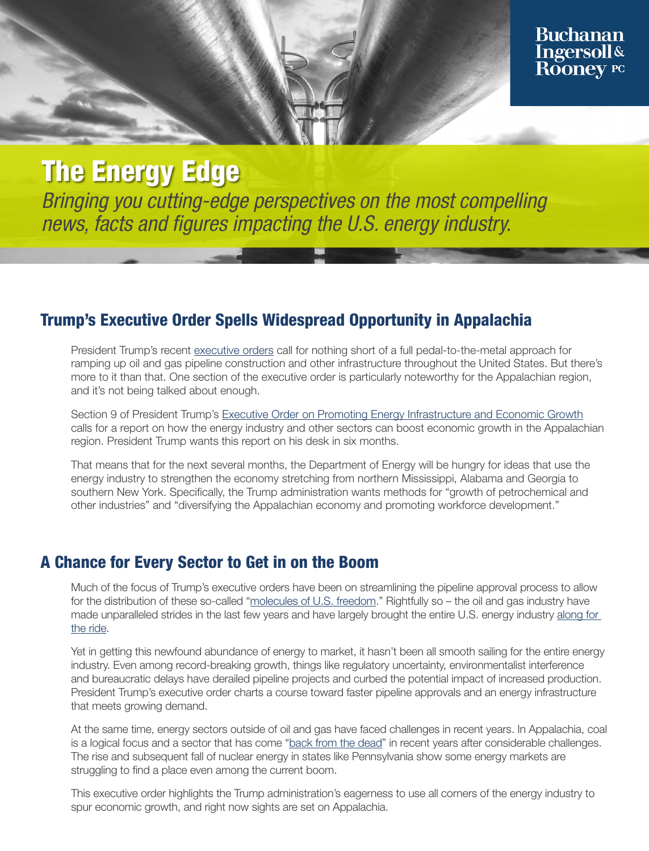# **The Energy Edge**

Bringing you cutting-edge perspectives on the most compelling news, facts and figures impacting the U.S. energy industry.

### Trump's Executive Order Spells Widespread Opportunity in Appalachia

President Trump's recent [executive orders](https://www.bipc.com/trump-signs-executive-order-to-accelerate-oil-and-gas-pipeline-construction) call for nothing short of a full pedal-to-the-metal approach for ramping up oil and gas pipeline construction and other infrastructure throughout the United States. But there's more to it than that. One section of the executive order is particularly noteworthy for the Appalachian region, and it's not being talked about enough.

Section 9 of President Trump's [Executive Order on Promoting Energy Infrastructure and Economic Growth](https://www.whitehouse.gov/presidential-actions/executive-order-promoting-energy-infrastructure-economic-growth/) calls for a report on how the energy industry and other sectors can boost economic growth in the Appalachian region. President Trump wants this report on his desk in six months.

That means that for the next several months, the Department of Energy will be hungry for ideas that use the energy industry to strengthen the economy stretching from northern Mississippi, Alabama and Georgia to southern New York. Specifically, the Trump administration wants methods for "growth of petrochemical and other industries" and "diversifying the Appalachian economy and promoting workforce development."

#### A Chance for Every Sector to Get in on the Boom

Much of the focus of Trump's executive orders have been on streamlining the pipeline approval process to allow for the distribution of these so-called ["molecules of U.S. freedom.](https://www.energy.gov/articles/department-energy-authorizes-additional-lng-exports-freeport-lng)" Rightfully so – the oil and gas industry have made unparalleled strides in the last few years and have largely brought the entire U.S. energy industry along for [the ride](https://www.bipc.com/the-energy-edge-u.s.-nears-the-edge-of-global-energy-dominance).

Yet in getting this newfound abundance of energy to market, it hasn't been all smooth sailing for the entire energy industry. Even among record-breaking growth, things like regulatory uncertainty, environmentalist interference and bureaucratic delays have derailed pipeline projects and curbed the potential impact of increased production. President Trump's executive order charts a course toward faster pipeline approvals and an energy infrastructure that meets growing demand.

At the same time, energy sectors outside of oil and gas have faced challenges in recent years. In Appalachia, coal is a logical focus and a sector that has come "[back from the dead](https://www.bipc.com/the-energy-edge-reports-of-coals-death-exaggerated)" in recent years after considerable challenges. The rise and subsequent fall of nuclear energy in states like Pennsylvania show some energy markets are struggling to find a place even among the current boom.

This executive order highlights the Trump administration's eagerness to use all corners of the energy industry to spur economic growth, and right now sights are set on Appalachia.